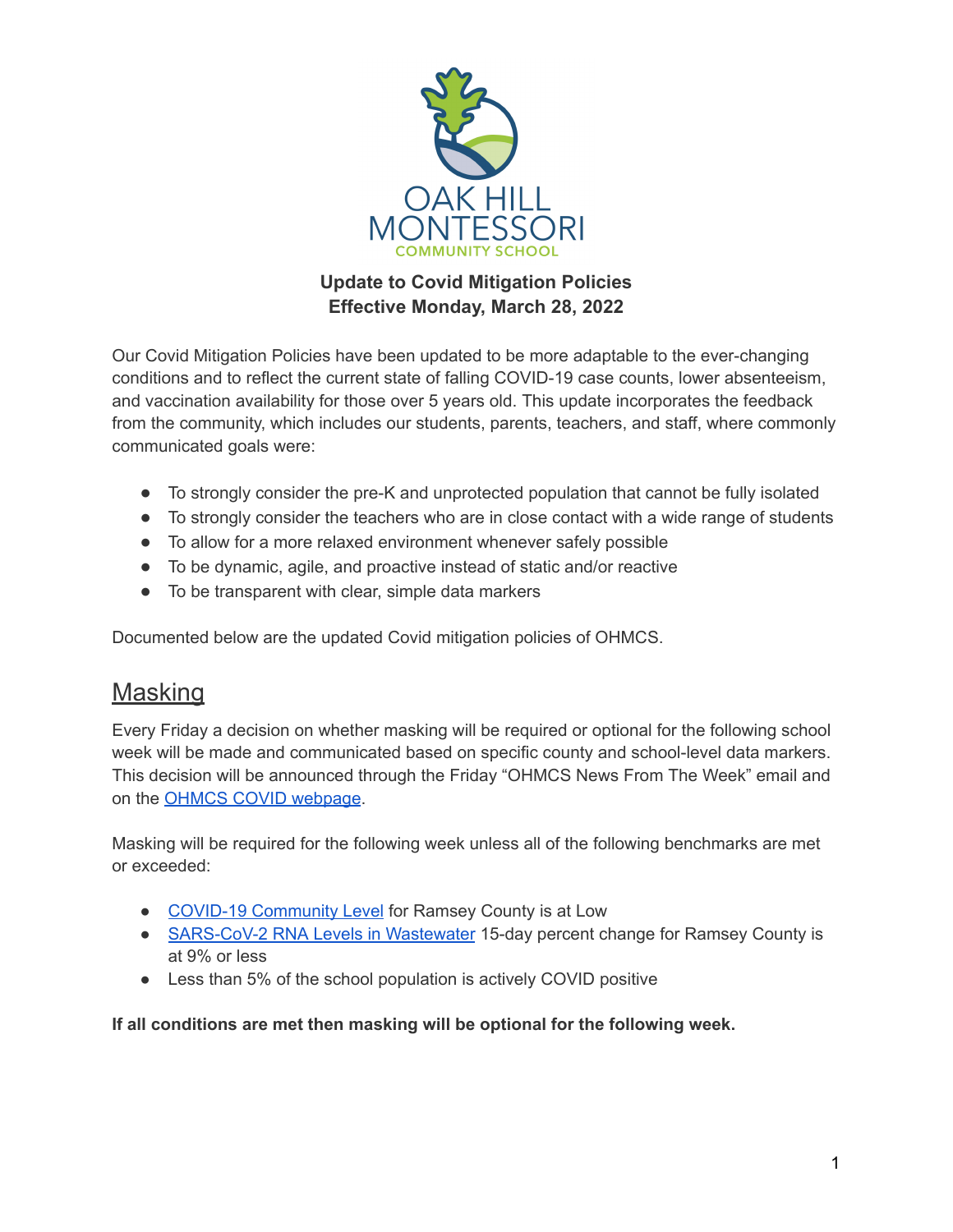

## **Update to Covid Mitigation Policies Effective Monday, March 28, 2022**

Our Covid Mitigation Policies have been updated to be more adaptable to the ever-changing conditions and to reflect the current state of falling COVID-19 case counts, lower absenteeism, and vaccination availability for those over 5 years old. This update incorporates the feedback from the community, which includes our students, parents, teachers, and staff, where commonly communicated goals were:

- To strongly consider the pre-K and unprotected population that cannot be fully isolated
- To strongly consider the teachers who are in close contact with a wide range of students
- To allow for a more relaxed environment whenever safely possible
- To be dynamic, agile, and proactive instead of static and/or reactive
- To be transparent with clear, simple data markers

Documented below are the updated Covid mitigation policies of OHMCS.

## **Masking**

Every Friday a decision on whether masking will be required or optional for the following school week will be made and communicated based on specific county and school-level data markers. This decision will be announced through the Friday "OHMCS News From The Week" email and on the OHMCS COVID [webpage](https://ohmcs.org/covid/).

Masking will be required for the following week unless all of the following benchmarks are met or exceeded:

- COVID-19 [Community](https://www.cdc.gov/coronavirus/2019-ncov/science/community-levels.html) Level for Ramsey County is at Low
- [SARS-CoV-2](https://covid.cdc.gov/covid-data-tracker/#wastewater-surveillance) RNA Levels in Wastewater 15-day percent change for Ramsey County is at 9% or less
- Less than 5% of the school population is actively COVID positive

**If all conditions are met then masking will be optional for the following week.**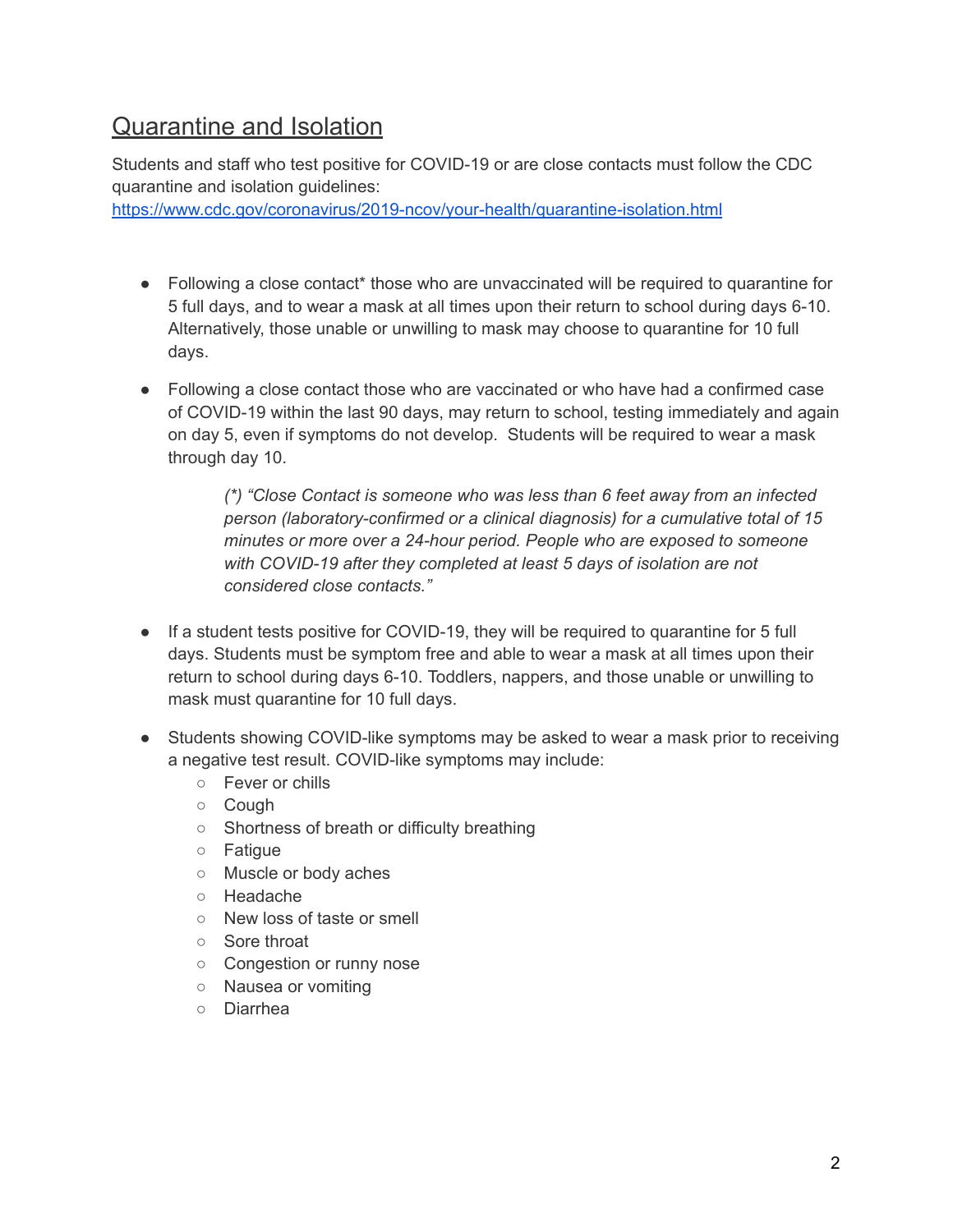## Quarantine and Isolation

Students and staff who test positive for COVID-19 or are close contacts must follow the CDC quarantine and isolation guidelines:

<https://www.cdc.gov/coronavirus/2019-ncov/your-health/quarantine-isolation.html>

- Following a close contact<sup>\*</sup> those who are unvaccinated will be required to quarantine for 5 full days, and to wear a mask at all times upon their return to school during days 6-10. Alternatively, those unable or unwilling to mask may choose to quarantine for 10 full days.
- Following a close contact those who are vaccinated or who have had a confirmed case of COVID-19 within the last 90 days, may return to school, testing immediately and again on day 5, even if symptoms do not develop. Students will be required to wear a mask through day 10.

*(\*) "Close Contact is someone who was less than 6 feet away from an infected person (laboratory-confirmed or a clinical diagnosis) for a cumulative total of 15 minutes or more over a 24-hour period. People who are exposed to someone with COVID-19 after they completed at least 5 days of isolation are not considered close contacts."*

- If a student tests positive for COVID-19, they will be required to quarantine for 5 full days. Students must be symptom free and able to wear a mask at all times upon their return to school during days 6-10. Toddlers, nappers, and those unable or unwilling to mask must quarantine for 10 full days.
- Students showing COVID-like symptoms may be asked to wear a mask prior to receiving a negative test result. COVID-like symptoms may include:
	- Fever or chills
	- Cough
	- Shortness of breath or difficulty breathing
	- Fatigue
	- Muscle or body aches
	- Headache
	- New loss of taste or smell
	- Sore throat
	- Congestion or runny nose
	- Nausea or vomiting
	- Diarrhea